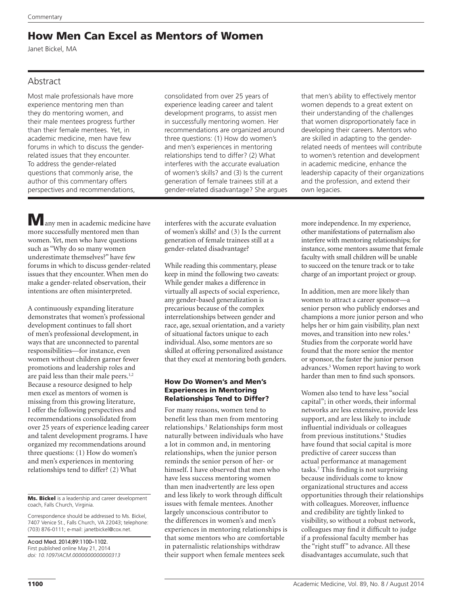# How Men Can Excel as Mentors of Women

Janet Bickel, MA

## Abstract

Most male professionals have more experience mentoring men than they do mentoring women, and their male mentees progress further than their female mentees. Yet, in academic medicine, men have few forums in which to discuss the genderrelated issues that they encounter. To address the gender-related questions that commonly arise, the author of this commentary offers perspectives and recommendations,

consolidated from over 25 years of experience leading career and talent development programs, to assist men in successfully mentoring women. Her recommendations are organized around three questions: (1) How do women's and men's experiences in mentoring relationships tend to differ? (2) What interferes with the accurate evaluation of women's skills? and (3) Is the current generation of female trainees still at a gender-related disadvantage? She argues that men's ability to effectively mentor women depends to a great extent on their understanding of the challenges that women disproportionately face in developing their careers. Mentors who are skilled in adapting to the genderrelated needs of mentees will contribute to women's retention and development in academic medicine, enhance the leadership capacity of their organizations and the profession, and extend their own legacies.

Many men in academic medicine have more successfully mentored men than women. Yet, men who have questions such as "Why do so many women underestimate themselves?" have few forums in which to discuss gender-related issues that they encounter. When men do make a gender-related observation, their intentions are often misinterpreted.

A continuously expanding literature demonstrates that women's professional development continues to fall short of men's professional development, in ways that are unconnected to parental responsibilities—for instance, even women without children garner fewer promotions and leadership roles and are paid less than their male peers.<sup>1,2</sup> Because a resource designed to help men excel as mentors of women is missing from this growing literature, I offer the following perspectives and recommendations consolidated from over 25 years of experience leading career and talent development programs. I have organized my recommendations around three questions: (1) How do women's and men's experiences in mentoring relationships tend to differ? (2) What

Ms. Bickel is a leadership and career development coach, Falls Church, Virginia.

Correspondence should be addressed to Ms. Bickel, 7407 Venice St., Falls Church, VA 22043; telephone: (703) 876-0111; e-mail: [janetbickel@cox.net](mailto:janetbickel@cox.net).

Acad Med. 2014;89:1100–1102. First published online May 21, 2014 *doi: 10.1097/ACM.0000000000000313* interferes with the accurate evaluation of women's skills? and (3) Is the current generation of female trainees still at a gender-related disadvantage?

While reading this commentary, please keep in mind the following two caveats: While gender makes a difference in virtually all aspects of social experience, any gender-based generalization is precarious because of the complex interrelationships between gender and race, age, sexual orientation, and a variety of situational factors unique to each individual. Also, some mentors are so skilled at offering personalized assistance that they excel at mentoring both genders.

## How Do Women's and Men's Experiences in Mentoring Relationships Tend to Differ?

For many reasons, women tend to benefit less than men from mentoring relationships.<sup>3</sup> Relationships form most naturally between individuals who have a lot in common and, in mentoring relationships, when the junior person reminds the senior person of her- or himself. I have observed that men who have less success mentoring women than men inadvertently are less open and less likely to work through difficult issues with female mentees. Another largely unconscious contributor to the differences in women's and men's experiences in mentoring relationships is that some mentors who are comfortable in paternalistic relationships withdraw their support when female mentees seek

more independence. In my experience, other manifestations of paternalism also interfere with mentoring relationships; for instance, some mentors assume that female faculty with small children will be unable to succeed on the tenure track or to take charge of an important project or group.

In addition, men are more likely than women to attract a career sponsor—a senior person who publicly endorses and champions a more junior person and who helps her or him gain visibility, plan next moves, and transition into new roles.4 Studies from the corporate world have found that the more senior the mentor or sponsor, the faster the junior person advances.5 Women report having to work harder than men to find such sponsors.

Women also tend to have less "social capital"; in other words, their informal networks are less extensive, provide less support, and are less likely to include influential individuals or colleagues from previous institutions.<sup>6</sup> Studies have found that social capital is more predictive of career success than actual performance at management tasks.7 This finding is not surprising because individuals come to know organizational structures and access opportunities through their relationships with colleagues. Moreover, influence and credibility are tightly linked to visibility, so without a robust network, colleagues may find it difficult to judge if a professional faculty member has the "right stuff" to advance. All these disadvantages accumulate, such that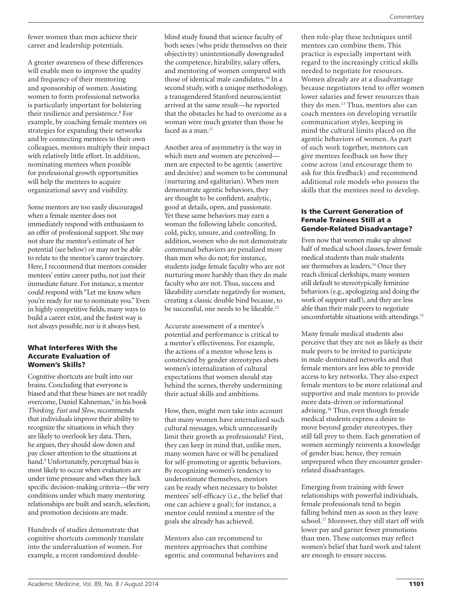fewer women than men achieve their career and leadership potentials.

A greater awareness of these differences will enable men to improve the quality and frequency of their mentoring and sponsorship of women. Assisting women to form professional networks is particularly important for bolstering their resilience and persistence.<sup>8</sup> For example, by coaching female mentees on strategies for expanding their networks and by connecting mentees to their own colleagues, mentors multiply their impact with relatively little effort. In addition, nominating mentees when possible for professional growth opportunities will help the mentees to acquire organizational savvy and visibility.

Some mentors are too easily discouraged when a female mentee does not immediately respond with enthusiasm to an offer of professional support. She may not share the mentor's estimate of her potential (see below) or may not be able to relate to the mentor's career trajectory. Here, I recommend that mentors consider mentees' entire career paths, not just their immediate future. For instance, a mentor could respond with "Let me know when you're ready for me to nominate you." Even in highly competitive fields, many ways to build a career exist, and the fastest way is not always possible, nor is it always best.

#### What Interferes With the Accurate Evaluation of Women's Skills?

Cognitive shortcuts are built into our brains. Concluding that everyone is biased and that these biases are not readily overcome, Daniel Kahneman,<sup>9</sup> in his book *Thinking, Fast and Slow*, recommends that individuals improve their ability to recognize the situations in which they are likely to overlook key data. Then, he argues, they should slow down and pay closer attention to the situations at hand.9 Unfortunately, perceptual bias is most likely to occur when evaluators are under time pressure and when they lack specific decision-making criteria—the very conditions under which many mentoring relationships are built and search, selection, and promotion decisions are made.

Hundreds of studies demonstrate that cognitive shortcuts commonly translate into the undervaluation of women. For example, a recent randomized doubleblind study found that science faculty of both sexes (who pride themselves on their objectivity) unintentionally downgraded the competence, hirability, salary offers, and mentoring of women compared with those of identical male candidates.<sup>10</sup> In a second study, with a unique methodology, a transgendered Stanford neuroscientist arrived at the same result—he reported that the obstacles he had to overcome as a woman were much greater than those he faced as a man.<sup>11</sup>

Another area of asymmetry is the way in which men and women are perceived men are expected to be agentic (assertive and decisive) and women to be communal (nurturing and egalitarian). When men demonstrate agentic behaviors, they are thought to be confident, analytic, good at details, open, and passionate. Yet these same behaviors may earn a woman the following labels: conceited, cold, picky, unsure, and controlling. In addition, women who do not demonstrate communal behaviors are penalized more than men who do not; for instance, students judge female faculty who are not nurturing more harshly than they do male faculty who are not. Thus, success and likeability correlate negatively for women, creating a classic double bind because, to be successful, one needs to be likeable.<sup>12</sup>

Accurate assessment of a mentee's potential and performance is critical to a mentor's effectiveness. For example, the actions of a mentor whose lens is constricted by gender stereotypes abets women's internalization of cultural expectations that women should stay behind the scenes, thereby undermining their actual skills and ambitions.

How, then, might men take into account that many women have internalized such cultural messages, which unnecessarily limit their growth as professionals? First, they can keep in mind that, unlike men, many women have or will be penalized for self-promoting or agentic behaviors. By recognizing women's tendency to underestimate themselves, mentors can be ready when necessary to bolster mentees' self-efficacy (i.e., the belief that one can achieve a goal); for instance, a mentor could remind a mentee of the goals she already has achieved.

Mentors also can recommend to mentees approaches that combine agentic and communal behaviors and then role-play these techniques until mentees can combine them. This practice is especially important with regard to the increasingly critical skills needed to negotiate for resources. Women already are at a disadvantage because negotiators tend to offer women lower salaries and fewer resources than they do men.13 Thus, mentors also can coach mentees on developing versatile communication styles, keeping in mind the cultural limits placed on the agentic behaviors of women. As part of such work together, mentors can give mentees feedback on how they come across (and encourage them to ask for this feedback) and recommend additional role models who possess the skills that the mentees need to develop.

### Is the Current Generation of Female Trainees Still at a Gender-Related Disadvantage?

Even now that women make up almost half of medical school classes, fewer female medical students than male students see themselves as leaders.<sup>14</sup> Once they reach clinical clerkships, many women still default to stereotypically feminine behaviors (e.g., apologizing and doing the work of support staff), and they are less able than their male peers to negotiate uncomfortable situations with attendings.15

Many female medical students also perceive that they are not as likely as their male peers to be invited to participate in male-dominated networks and that female mentors are less able to provide access to key networks. They also expect female mentors to be more relational and supportive and male mentors to provide more data-driven or informational advising.16 Thus, even though female medical students express a desire to move beyond gender stereotypes, they still fall prey to them. Each generation of women seemingly reinvents a knowledge of gender bias; hence, they remain unprepared when they encounter genderrelated disadvantages.

Emerging from training with fewer relationships with powerful individuals, female professionals tend to begin falling behind men as soon as they leave school.17 Moreover, they still start off with lower pay and garner fewer promotions than men. These outcomes may reflect women's belief that hard work and talent are enough to ensure success.